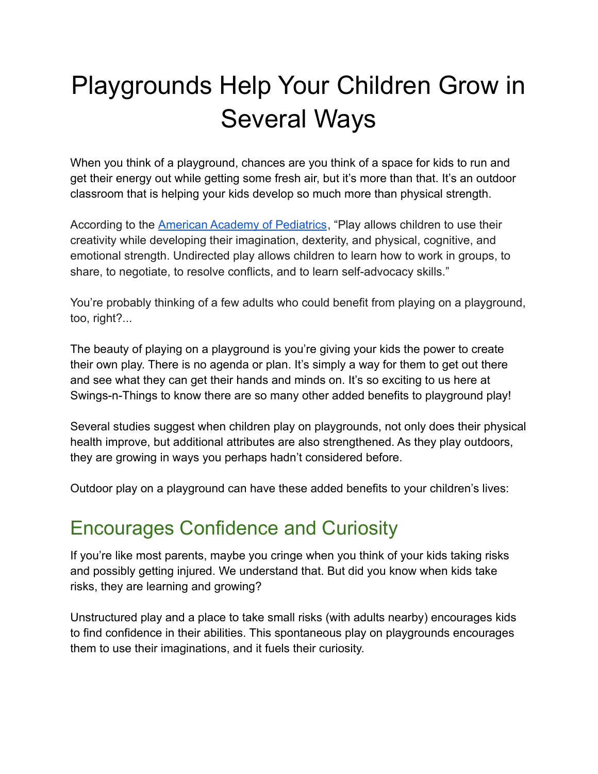# Playgrounds Help Your Children Grow in Several Ways

When you think of a playground, chances are you think of a space for kids to run and get their energy out while getting some fresh air, but it's more than that. It's an outdoor classroom that is helping your kids develop so much more than physical strength.

According to the [American Academy of Pediatrics](https://publications.aap.org/pediatrics/article/119/1/182/70699/The-Importance-of-Play-in-Promoting-Healthy-Child), "Play allows children to use their creativity while developing their imagination, dexterity, and physical, cognitive, and emotional strength. Undirected play allows children to learn how to work in groups, to share, to negotiate, to resolve conflicts, and to learn self-advocacy skills."

You're probably thinking of a few adults who could benefit from playing on a playground, too, right?...

The beauty of playing on a playground is you're giving your kids the power to create their own play. There is no agenda or plan. It's simply a way for them to get out there and see what they can get their hands and minds on. It's so exciting to us here at Swings-n-Things to know there are so many other added benefits to playground play!

Several studies suggest when children play on playgrounds, not only does their physical health improve, but additional attributes are also strengthened. As they play outdoors, they are growing in ways you perhaps hadn't considered before.

Outdoor play on a playground can have these added benefits to your children's lives:

#### Encourages Confidence and Curiosity

If you're like most parents, maybe you cringe when you think of your kids taking risks and possibly getting injured. We understand that. But did you know when kids take risks, they are learning and growing?

Unstructured play and a place to take small risks (with adults nearby) encourages kids to find confidence in their abilities. This spontaneous play on playgrounds encourages them to use their imaginations, and it fuels their curiosity.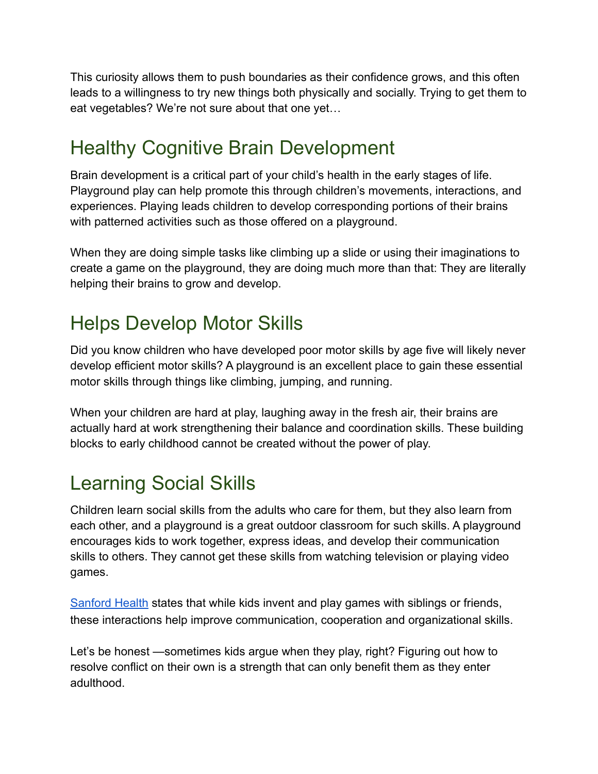This curiosity allows them to push boundaries as their confidence grows, and this often leads to a willingness to try new things both physically and socially. Trying to get them to eat vegetables? We're not sure about that one yet…

#### Healthy Cognitive Brain Development

Brain development is a critical part of your child's health in the early stages of life. Playground play can help promote this through children's movements, interactions, and experiences. Playing leads children to develop corresponding portions of their brains with patterned activities such as those offered on a playground.

When they are doing simple tasks like climbing up a slide or using their imaginations to create a game on the playground, they are doing much more than that: They are literally helping their brains to grow and develop.

### Helps Develop Motor Skills

Did you know children who have developed poor motor skills by age five will likely never develop efficient motor skills? A playground is an excellent place to gain these essential motor skills through things like climbing, jumping, and running.

When your children are hard at play, laughing away in the fresh air, their brains are actually hard at work strengthening their balance and coordination skills. These building blocks to early childhood cannot be created without the power of play.

## Learning Social Skills

Children learn social skills from the adults who care for them, but they also learn from each other, and a playground is a great outdoor classroom for such skills. A playground encourages kids to work together, express ideas, and develop their communication skills to others. They cannot get these skills from watching television or playing video games.

[Sanford Health](https://news.sanfordhealth.org/childrens/play-outside/) states that while kids invent and play games with siblings or friends, these interactions help improve communication, cooperation and organizational skills.

Let's be honest —sometimes kids argue when they play, right? Figuring out how to resolve conflict on their own is a strength that can only benefit them as they enter adulthood.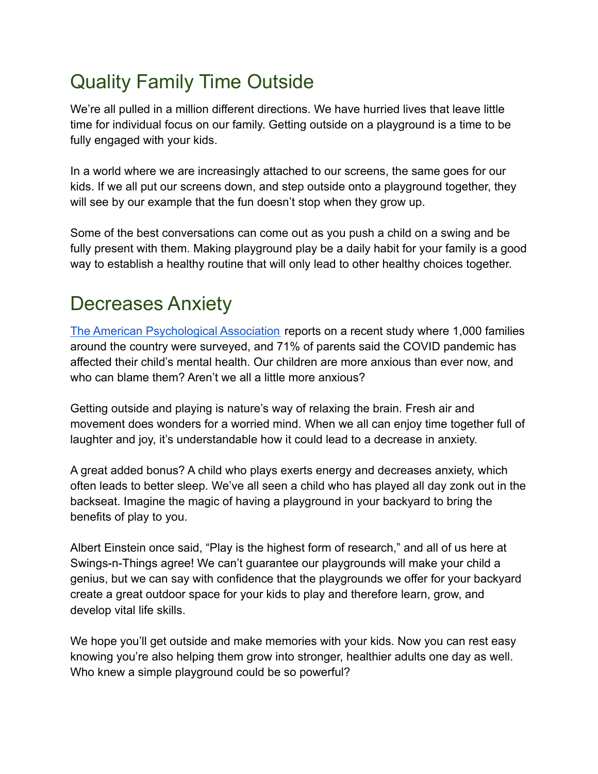# Quality Family Time Outside

We're all pulled in a million different directions. We have hurried lives that leave little time for individual focus on our family. Getting outside on a playground is a time to be fully engaged with your kids.

In a world where we are increasingly attached to our screens, the same goes for our kids. If we all put our screens down, and step outside onto a playground together, they will see by our example that the fun doesn't stop when they grow up.

Some of the best conversations can come out as you push a child on a swing and be fully present with them. Making playground play be a daily habit for your family is a good way to establish a healthy routine that will only lead to other healthy choices together.

## Decreases Anxiety

[The American Psychological Association](https://www.apa.org/monitor/2022/01/special-childrens-mental-health) reports on a recent study where 1,000 families around the country were surveyed, and 71% of parents said the COVID pandemic has affected their child's mental health. Our children are more anxious than ever now, and who can blame them? Aren't we all a little more anxious?

Getting outside and playing is nature's way of relaxing the brain. Fresh air and movement does wonders for a worried mind. When we all can enjoy time together full of laughter and joy, it's understandable how it could lead to a decrease in anxiety.

A great added bonus? A child who plays exerts energy and decreases anxiety, which often leads to better sleep. We've all seen a child who has played all day zonk out in the backseat. Imagine the magic of having a playground in your backyard to bring the benefits of play to you.

Albert Einstein once said, "Play is the highest form of research," and all of us here at Swings-n-Things agree! We can't guarantee our playgrounds will make your child a genius, but we can say with confidence that the playgrounds we offer for your backyard create a great outdoor space for your kids to play and therefore learn, grow, and develop vital life skills.

We hope you'll get outside and make memories with your kids. Now you can rest easy knowing you're also helping them grow into stronger, healthier adults one day as well. Who knew a simple playground could be so powerful?